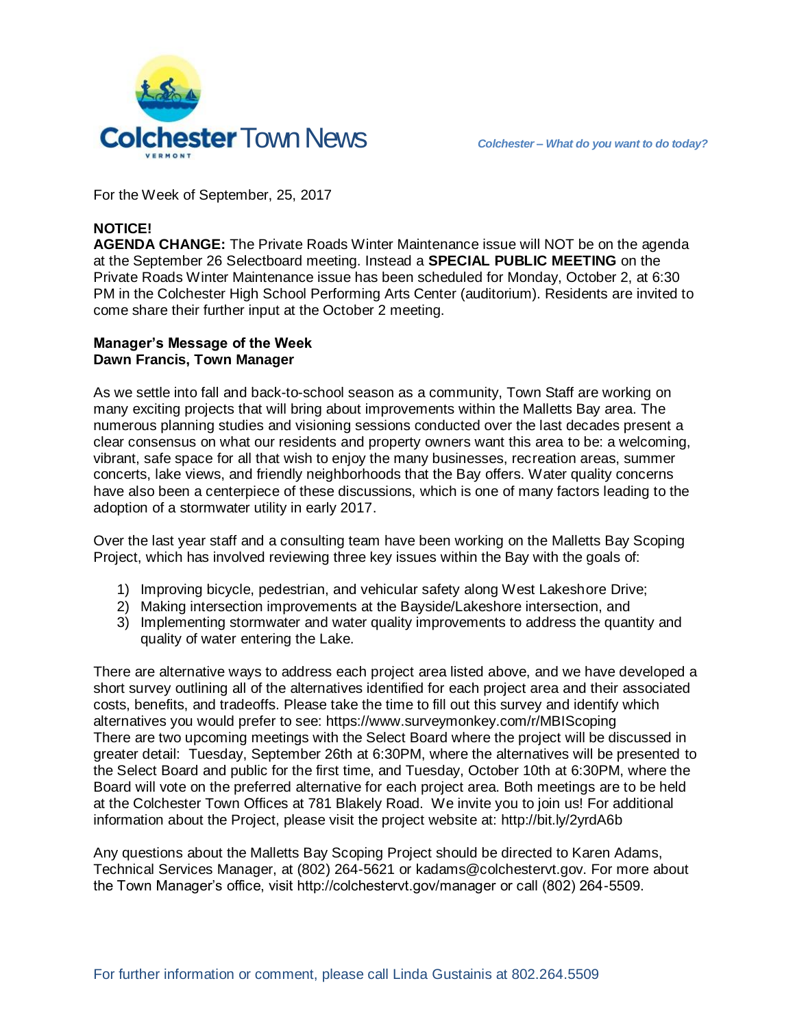

For the Week of September, 25, 2017

# **NOTICE!**

**AGENDA CHANGE:** The Private Roads Winter Maintenance issue will NOT be on the agenda at the September 26 Selectboard meeting. Instead a **SPECIAL PUBLIC MEETING** on the Private Roads Winter Maintenance issue has been scheduled for Monday, October 2, at 6:30 PM in the Colchester High School Performing Arts Center (auditorium). Residents are invited to come share their further input at the October 2 meeting.

#### **Manager's Message of the Week Dawn Francis, Town Manager**

As we settle into fall and back-to-school season as a community, Town Staff are working on many exciting projects that will bring about improvements within the Malletts Bay area. The numerous planning studies and visioning sessions conducted over the last decades present a clear consensus on what our residents and property owners want this area to be: a welcoming, vibrant, safe space for all that wish to enjoy the many businesses, recreation areas, summer concerts, lake views, and friendly neighborhoods that the Bay offers. Water quality concerns have also been a centerpiece of these discussions, which is one of many factors leading to the adoption of a stormwater utility in early 2017.

Over the last year staff and a consulting team have been working on the Malletts Bay Scoping Project, which has involved reviewing three key issues within the Bay with the goals of:

- 1) Improving bicycle, pedestrian, and vehicular safety along West Lakeshore Drive;
- 2) Making intersection improvements at the Bayside/Lakeshore intersection, and
- 3) Implementing stormwater and water quality improvements to address the quantity and quality of water entering the Lake.

There are alternative ways to address each project area listed above, and we have developed a short survey outlining all of the alternatives identified for each project area and their associated costs, benefits, and tradeoffs. Please take the time to fill out this survey and identify which alternatives you would prefer to see: https://www.surveymonkey.com/r/MBIScoping There are two upcoming meetings with the Select Board where the project will be discussed in greater detail: Tuesday, September 26th at 6:30PM, where the alternatives will be presented to the Select Board and public for the first time, and Tuesday, October 10th at 6:30PM, where the Board will vote on the preferred alternative for each project area. Both meetings are to be held at the Colchester Town Offices at 781 Blakely Road. We invite you to join us! For additional information about the Project, please visit the project website at: http://bit.ly/2yrdA6b

Any questions about the Malletts Bay Scoping Project should be directed to Karen Adams, Technical Services Manager, at (802) 264-5621 or kadams@colchestervt.gov. For more about the Town Manager's office, visit http://colchestervt.gov/manager or call (802) 264-5509.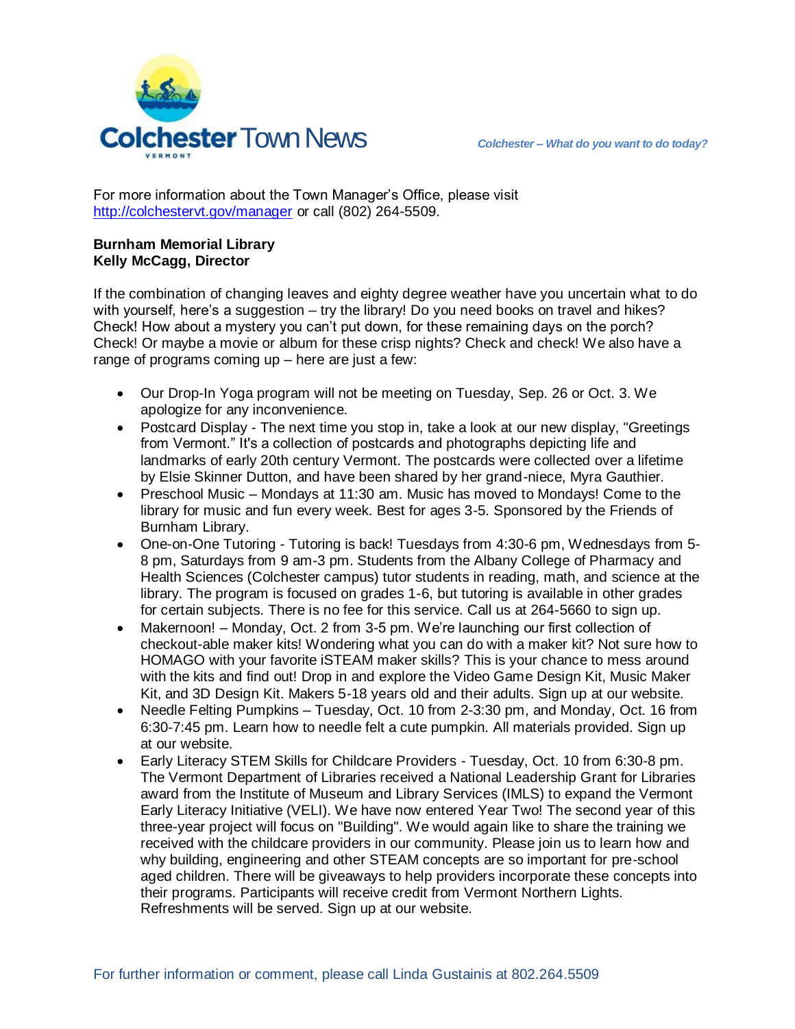

For more information about the Town Manager's Office, please visit <http://colchestervt.gov/manager> or call (802) 264-5509.

## **Burnham Memorial Library Kelly McCagg, Director**

If the combination of changing leaves and eighty degree weather have you uncertain what to do with yourself, here's a suggestion – try the library! Do you need books on travel and hikes? Check! How about a mystery you can't put down, for these remaining days on the porch? Check! Or maybe a movie or album for these crisp nights? Check and check! We also have a range of programs coming up – here are just a few:

- Our Drop-In Yoga program will not be meeting on Tuesday, Sep. 26 or Oct. 3. We apologize for any inconvenience.
- Postcard Display The next time you stop in, take a look at our new display, "Greetings" from Vermont." It's a collection of postcards and photographs depicting life and landmarks of early 20th century Vermont. The postcards were collected over a lifetime by Elsie Skinner Dutton, and have been shared by her grand-niece, Myra Gauthier.
- Preschool Music Mondays at 11:30 am. Music has moved to Mondays! Come to the library for music and fun every week. Best for ages 3-5. Sponsored by the Friends of Burnham Library.
- One-on-One Tutoring Tutoring is back! Tuesdays from 4:30-6 pm, Wednesdays from 5- 8 pm, Saturdays from 9 am-3 pm. Students from the Albany College of Pharmacy and Health Sciences (Colchester campus) tutor students in reading, math, and science at the library. The program is focused on grades 1-6, but tutoring is available in other grades for certain subjects. There is no fee for this service. Call us at 264-5660 to sign up.
- Makernoon! Monday, Oct. 2 from 3-5 pm. We're launching our first collection of checkout-able maker kits! Wondering what you can do with a maker kit? Not sure how to HOMAGO with your favorite iSTEAM maker skills? This is your chance to mess around with the kits and find out! Drop in and explore the Video Game Design Kit, Music Maker Kit, and 3D Design Kit. Makers 5-18 years old and their adults. Sign up at our website.
- Needle Felting Pumpkins Tuesday, Oct. 10 from 2-3:30 pm, and Monday, Oct. 16 from 6:30-7:45 pm. Learn how to needle felt a cute pumpkin. All materials provided. Sign up at our website.
- Early Literacy STEM Skills for Childcare Providers Tuesday, Oct. 10 from 6:30-8 pm. The Vermont Department of Libraries received a National Leadership Grant for Libraries award from the Institute of Museum and Library Services (IMLS) to expand the Vermont Early Literacy Initiative (VELI). We have now entered Year Two! The second year of this three-year project will focus on "Building". We would again like to share the training we received with the childcare providers in our community. Please join us to learn how and why building, engineering and other STEAM concepts are so important for pre-school aged children. There will be giveaways to help providers incorporate these concepts into their programs. Participants will receive credit from Vermont Northern Lights. Refreshments will be served. Sign up at our website.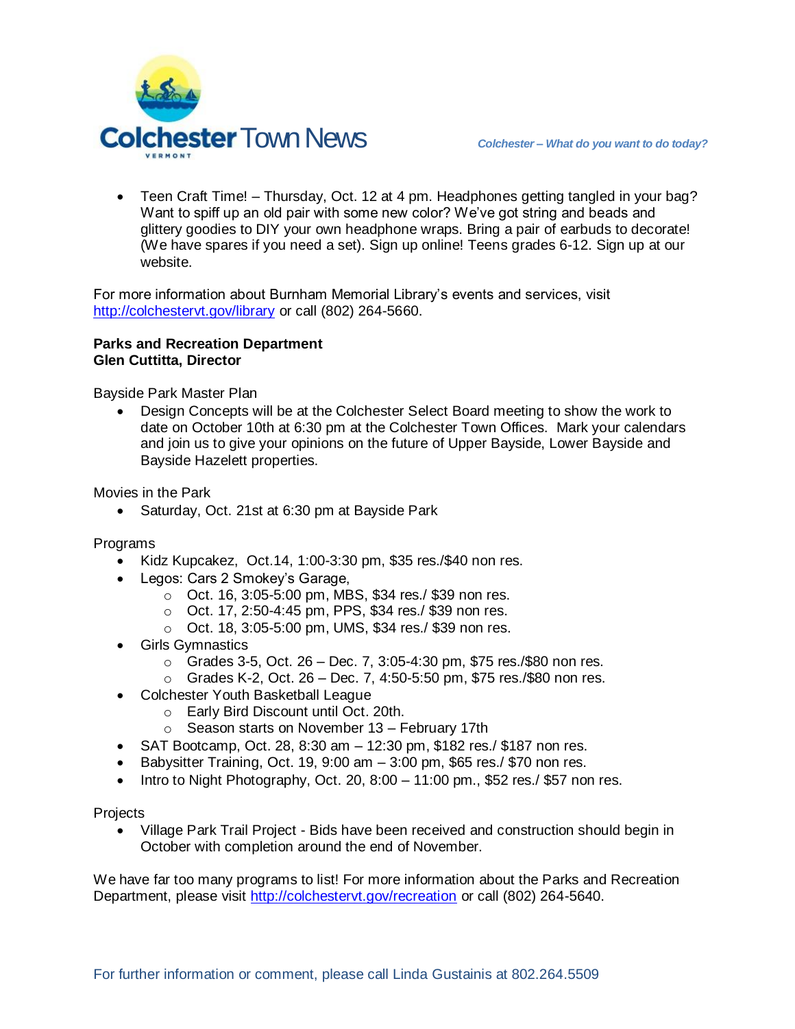

 Teen Craft Time! – Thursday, Oct. 12 at 4 pm. Headphones getting tangled in your bag? Want to spiff up an old pair with some new color? We've got string and beads and glittery goodies to DIY your own headphone wraps. Bring a pair of earbuds to decorate! (We have spares if you need a set). Sign up online! Teens grades 6-12. Sign up at our website.

For more information about Burnham Memorial Library's events and services, visit <http://colchestervt.gov/library> or call (802) 264-5660.

## **Parks and Recreation Department Glen Cuttitta, Director**

Bayside Park Master Plan

 Design Concepts will be at the Colchester Select Board meeting to show the work to date on October 10th at 6:30 pm at the Colchester Town Offices. Mark your calendars and join us to give your opinions on the future of Upper Bayside, Lower Bayside and Bayside Hazelett properties.

Movies in the Park

• Saturday, Oct. 21st at 6:30 pm at Bayside Park

Programs

- Kidz Kupcakez, Oct.14, 1:00-3:30 pm, \$35 res./\$40 non res.
- Legos: Cars 2 Smokey's Garage,
	- o Oct. 16, 3:05-5:00 pm, MBS, \$34 res./ \$39 non res.
	- o Oct. 17, 2:50-4:45 pm, PPS, \$34 res./ \$39 non res.
	- o Oct. 18, 3:05-5:00 pm, UMS, \$34 res./ \$39 non res.
- Girls Gymnastics
	- $\circ$  Grades 3-5, Oct. 26 Dec. 7, 3:05-4:30 pm, \$75 res./\$80 non res.
	- $\circ$  Grades K-2, Oct. 26 Dec. 7, 4:50-5:50 pm, \$75 res./\$80 non res.
- Colchester Youth Basketball League
	- o Early Bird Discount until Oct. 20th.
	- $\circ$  Season starts on November 13 February 17th
- $\bullet$  SAT Bootcamp, Oct. 28, 8:30 am  $-12:30$  pm, \$182 res./ \$187 non res.
- Babysitter Training, Oct. 19, 9:00 am  $-3:00$  pm, \$65 res./ \$70 non res.
- Intro to Night Photography, Oct. 20, 8:00  $-$  11:00 pm., \$52 res./ \$57 non res.

**Projects** 

 Village Park Trail Project - Bids have been received and construction should begin in October with completion around the end of November.

We have far too many programs to list! For more information about the Parks and Recreation Department, please visit [http://colchestervt.gov/recreation](http://colchestervt.gov/Recreation/parksNRec.shtml) or call (802) 264-5640.